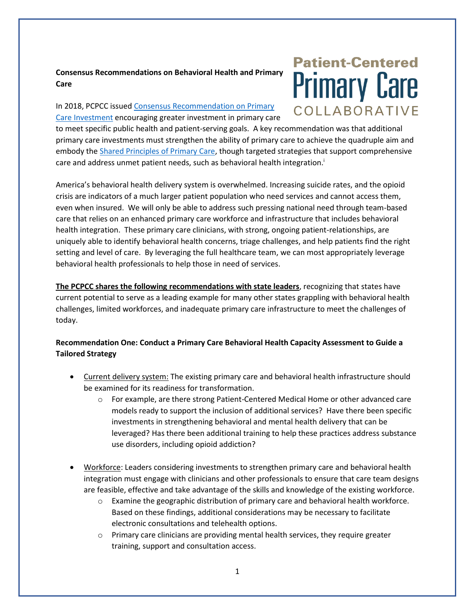## **Consensus Recommendations on Behavioral Health and Primary Care**

#### In 2018, PCPCC issue[d Consensus Recommendation on Primary](https://www.pcpcc.org/sites/default/files/resources/PCPCC%20Consensus%20Recommendations%20on%20Primary%20Care%20Investment%20Aug%202018.pdf)  [Care Investment](https://www.pcpcc.org/sites/default/files/resources/PCPCC%20Consensus%20Recommendations%20on%20Primary%20Care%20Investment%20Aug%202018.pdf) encouraging greater investment in primary care

# **Patient-Centered Primary Care** COLLABORATIVE

to meet specific public health and patient-serving goals. A key recommendation was that additional primary care investments must strengthen the ability of primary care to achieve the quadruple aim and embody th[e Shared Principles of Primary Care,](https://www.pcpcc.org/about/shared-principles) though targeted strategies that support comprehensive care and address unmet patient needs, such as behavioral health integration.<sup>i</sup>

America's behavioral health delivery system is overwhelmed. Increasing suicide rates, and the opioid crisis are indicators of a much larger patient population who need services and cannot access them, even when insured. We will only be able to address such pressing national need through team-based care that relies on an enhanced primary care workforce and infrastructure that includes behavioral health integration. These primary care clinicians, with strong, ongoing patient-relationships, are uniquely able to identify behavioral health concerns, triage challenges, and help patients find the right setting and level of care. By leveraging the full healthcare team, we can most appropriately leverage behavioral health professionals to help those in need of services.

**The PCPCC shares the following recommendations with state leaders**, recognizing that states have current potential to serve as a leading example for many other states grappling with behavioral health challenges, limited workforces, and inadequate primary care infrastructure to meet the challenges of today.

## **Recommendation One: Conduct a Primary Care Behavioral Health Capacity Assessment to Guide a Tailored Strategy**

- Current delivery system: The existing primary care and behavioral health infrastructure should be examined for its readiness for transformation.
	- $\circ$  For example, are there strong Patient-Centered Medical Home or other advanced care models ready to support the inclusion of additional services? Have there been specific investments in strengthening behavioral and mental health delivery that can be leveraged? Has there been additional training to help these practices address substance use disorders, including opioid addiction?
- Workforce: Leaders considering investments to strengthen primary care and behavioral health integration must engage with clinicians and other professionals to ensure that care team designs are feasible, effective and take advantage of the skills and knowledge of the existing workforce.
	- o Examine the geographic distribution of primary care and behavioral health workforce. Based on these findings, additional considerations may be necessary to facilitate electronic consultations and telehealth options.
	- $\circ$  Primary care clinicians are providing mental health services, they require greater training, support and consultation access.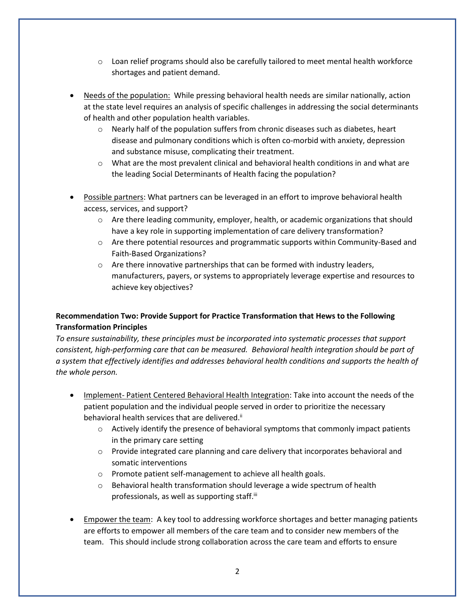- $\circ$  Loan relief programs should also be carefully tailored to meet mental health workforce shortages and patient demand.
- Needs of the population: While pressing behavioral health needs are similar nationally, action at the state level requires an analysis of specific challenges in addressing the social determinants of health and other population health variables.
	- $\circ$  Nearly half of the population suffers from chronic diseases such as diabetes, heart disease and pulmonary conditions which is often co-morbid with anxiety, depression and substance misuse, complicating their treatment.
	- $\circ$  What are the most prevalent clinical and behavioral health conditions in and what are the leading Social Determinants of Health facing the population?
- Possible partners: What partners can be leveraged in an effort to improve behavioral health access, services, and support?
	- o Are there leading community, employer, health, or academic organizations that should have a key role in supporting implementation of care delivery transformation?
	- o Are there potential resources and programmatic supports within Community-Based and Faith-Based Organizations?
	- o Are there innovative partnerships that can be formed with industry leaders, manufacturers, payers, or systems to appropriately leverage expertise and resources to achieve key objectives?

## **Recommendation Two: Provide Support for Practice Transformation that Hews to the Following Transformation Principles**

*To ensure sustainability, these principles must be incorporated into systematic processes that support consistent, high-performing care that can be measured. Behavioral health integration should be part of a system that effectively identifies and addresses behavioral health conditions and supports the health of the whole person.* 

- Implement- Patient Centered Behavioral Health Integration: Take into account the needs of the patient population and the individual people served in order to prioritize the necessary behavioral health services that are delivered.<sup>ii</sup>
	- $\circ$  Actively identify the presence of behavioral symptoms that commonly impact patients in the primary care setting
	- o Provide integrated care planning and care delivery that incorporates behavioral and somatic interventions
	- o Promote patient self-management to achieve all health goals.
	- $\circ$  Behavioral health transformation should leverage a wide spectrum of health professionals, as well as supporting staff.<sup>iii</sup>
- **Empower the team:** A key tool to addressing workforce shortages and better managing patients are efforts to empower all members of the care team and to consider new members of the team. This should include strong collaboration across the care team and efforts to ensure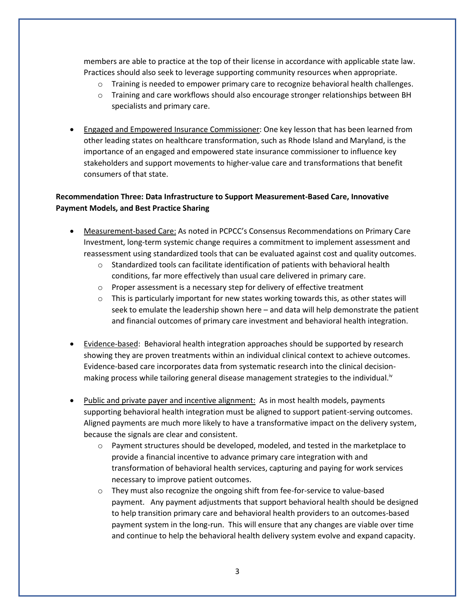members are able to practice at the top of their license in accordance with applicable state law. Practices should also seek to leverage supporting community resources when appropriate.

- o Training is needed to empower primary care to recognize behavioral health challenges.
- o Training and care workflows should also encourage stronger relationships between BH specialists and primary care.
- Engaged and Empowered Insurance Commissioner: One key lesson that has been learned from other leading states on healthcare transformation, such as Rhode Island and Maryland, is the importance of an engaged and empowered state insurance commissioner to influence key stakeholders and support movements to higher-value care and transformations that benefit consumers of that state.

#### **Recommendation Three: Data Infrastructure to Support Measurement-Based Care, Innovative Payment Models, and Best Practice Sharing**

- Measurement-based Care: As noted in PCPCC's Consensus Recommendations on Primary Care Investment, long-term systemic change requires a commitment to implement assessment and reassessment using standardized tools that can be evaluated against cost and quality outcomes.
	- $\circ$  Standardized tools can facilitate identification of patients with behavioral health conditions, far more effectively than usual care delivered in primary care.
	- o Proper assessment is a necessary step for delivery of effective treatment
	- $\circ$  This is particularly important for new states working towards this, as other states will seek to emulate the leadership shown here – and data will help demonstrate the patient and financial outcomes of primary care investment and behavioral health integration.
- Evidence-based: Behavioral health integration approaches should be supported by research showing they are proven treatments within an individual clinical context to achieve outcomes. Evidence-based care incorporates data from systematic research into the clinical decisionmaking process while tailoring general disease management strategies to the individual.<sup>iv</sup>
- Public and private payer and incentive alignment: As in most health models, payments supporting behavioral health integration must be aligned to support patient-serving outcomes. Aligned payments are much more likely to have a transformative impact on the delivery system, because the signals are clear and consistent.
	- $\circ$  Payment structures should be developed, modeled, and tested in the marketplace to provide a financial incentive to advance primary care integration with and transformation of behavioral health services, capturing and paying for work services necessary to improve patient outcomes.
	- o They must also recognize the ongoing shift from fee-for-service to value-based payment. Any payment adjustments that support behavioral health should be designed to help transition primary care and behavioral health providers to an outcomes-based payment system in the long-run. This will ensure that any changes are viable over time and continue to help the behavioral health delivery system evolve and expand capacity.